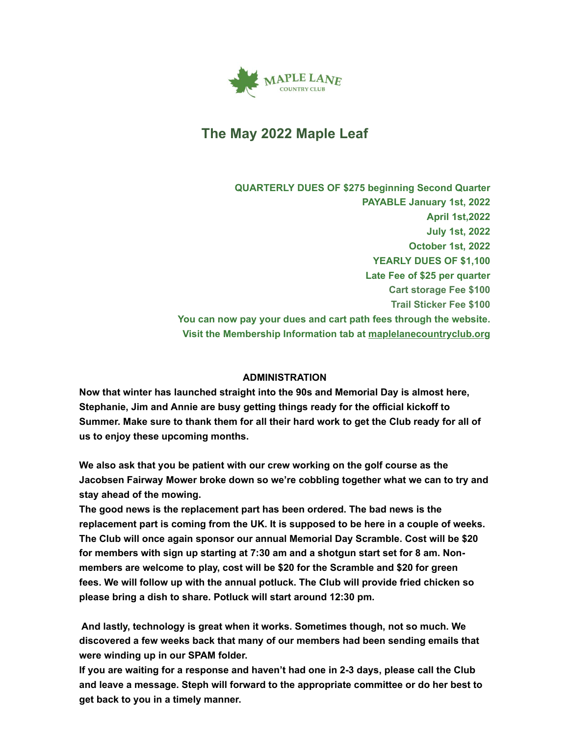

# **The May 2022 Maple Leaf**

**QUARTERLY DUES OF \$275 beginning Second Quarter PAYABLE January 1st, 2022 April 1st,2022 July 1st, 2022 October 1st, 2022 YEARLY DUES OF \$1,100 Late Fee of \$25 per quarter Cart storage Fee \$100 Trail Sticker Fee \$100 You can now pay your dues and cart path fees through the website. Visit the Membership Information tab at [maplelanecountryclub.org](http://www.maplelanecountryclub.org/)**

### **ADMINISTRATION**

**Now that winter has launched straight into the 90s and Memorial Day is almost here, Stephanie, Jim and Annie are busy getting things ready for the official kickoff to Summer. Make sure to thank them for all their hard work to get the Club ready for all of us to enjoy these upcoming months.**

**We also ask that you be patient with our crew working on the golf course as the Jacobsen Fairway Mower broke down so we're cobbling together what we can to try and stay ahead of the mowing.**

**The good news is the replacement part has been ordered. The bad news is the replacement part is coming from the UK. It is supposed to be here in a couple of weeks. The Club will once again sponsor our annual Memorial Day Scramble. Cost will be \$20 for members with sign up starting at 7:30 am and a shotgun start set for 8 am. Nonmembers are welcome to play, cost will be \$20 for the Scramble and \$20 for green fees. We will follow up with the annual potluck. The Club will provide fried chicken so please bring a dish to share. Potluck will start around 12:30 pm.**

**And lastly, technology is great when it works. Sometimes though, not so much. We discovered a few weeks back that many of our members had been sending emails that were winding up in our SPAM folder.**

**If you are waiting for a response and haven't had one in 2-3 days, please call the Club and leave a message. Steph will forward to the appropriate committee or do her best to get back to you in a timely manner.**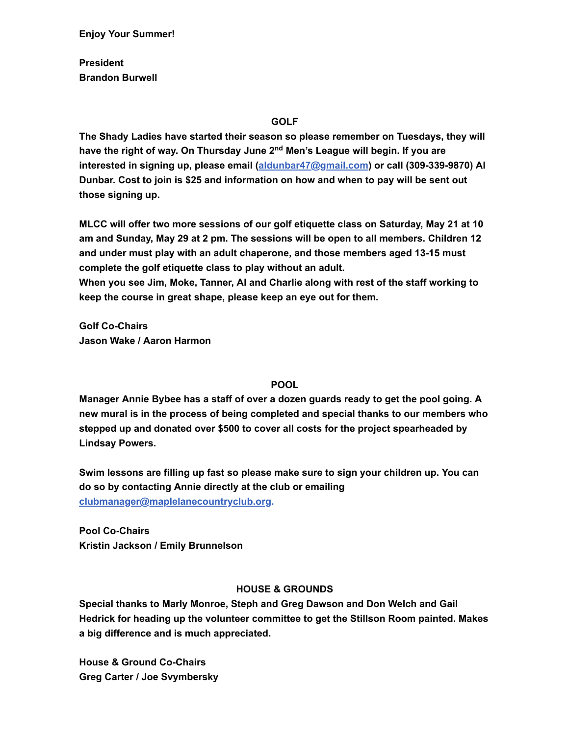**Enjoy Your Summer!**

**President Brandon Burwell**

#### **GOLF**

**The Shady Ladies have started their season so please remember on Tuesdays, they will have the right of way. On Thursday June 2nd Men's League will begin. If you are interested in signing up, please email ([aldunbar47@gmail.com\)](mailto:aldunbar47@gmail.com) or call (309-339-9870) Al Dunbar. Cost to join is \$25 and information on how and when to pay will be sent out those signing up.**

**MLCC will offer two more sessions of our golf etiquette class on Saturday, May 21 at 10 am and Sunday, May 29 at 2 pm. The sessions will be open to all members. Children 12 and under must play with an adult chaperone, and those members aged 13-15 must complete the golf etiquette class to play without an adult. When you see Jim, Moke, Tanner, Al and Charlie along with rest of the staff working to**

**keep the course in great shape, please keep an eye out for them.**

**Golf Co-Chairs Jason Wake / Aaron Harmon**

#### **POOL**

**Manager Annie Bybee has a staff of over a dozen guards ready to get the pool going. A new mural is in the process of being completed and special thanks to our members who stepped up and donated over \$500 to cover all costs for the project spearheaded by Lindsay Powers.**

**Swim lessons are filling up fast so please make sure to sign your children up. You can do so by contacting Annie directly at the club or emailing [clubmanager@maplelanecountryclub.org](mailto:clubmanager@maplelanecountryclub.org).**

**Pool Co-Chairs Kristin Jackson / Emily Brunnelson**

#### **HOUSE & GROUNDS**

**Special thanks to Marly Monroe, Steph and Greg Dawson and Don Welch and Gail Hedrick for heading up the volunteer committee to get the Stillson Room painted. Makes a big difference and is much appreciated.**

**House & Ground Co-Chairs Greg Carter / Joe Svymbersky**